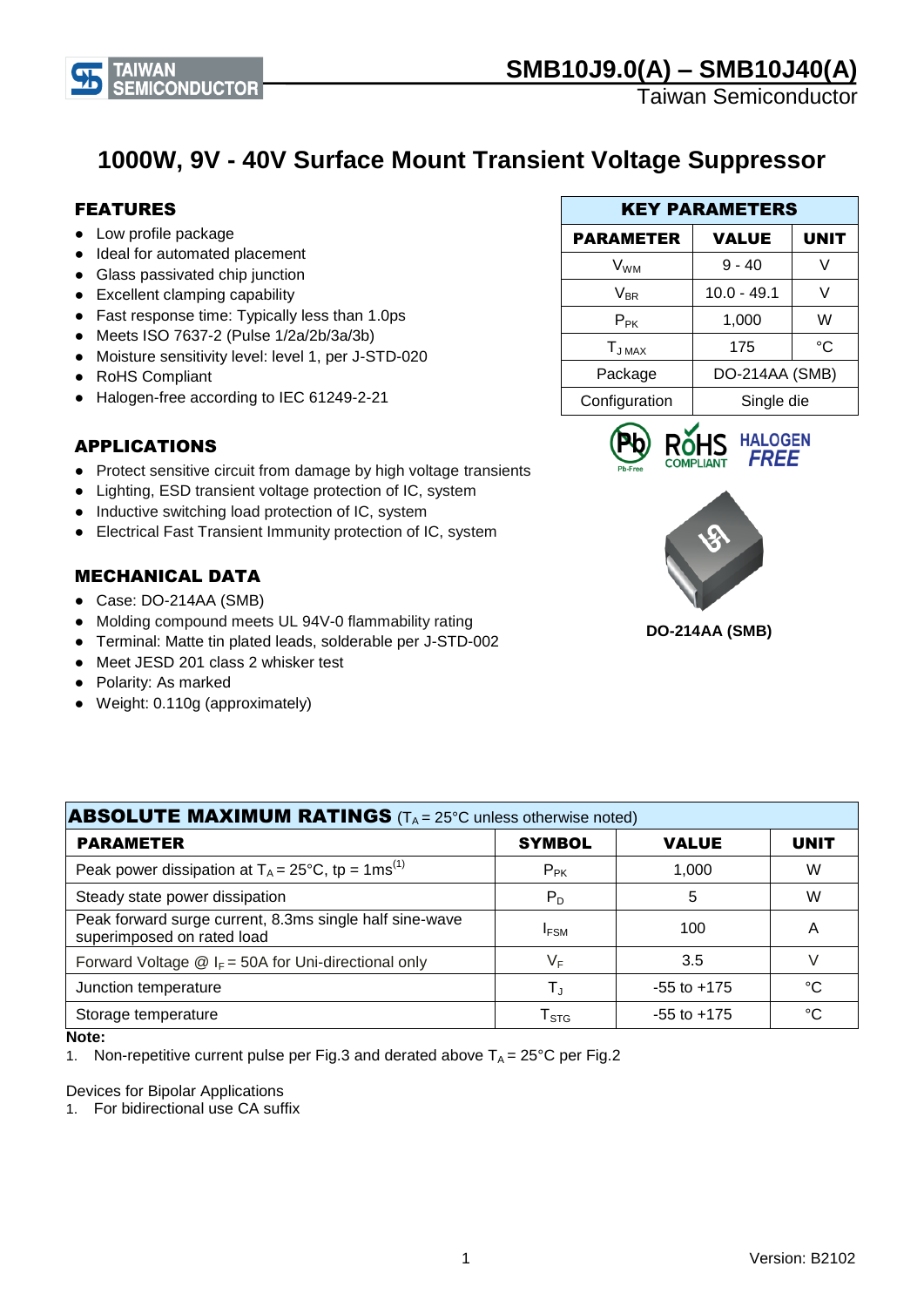

Taiwan Semiconductor

## **1000W, 9V - 40V Surface Mount Transient Voltage Suppressor**

#### FEATURES

- Low profile package
- Ideal for automated placement
- Glass passivated chip junction
- Excellent clamping capability
- Fast response time: Typically less than 1.0ps
- Meets ISO 7637-2 (Pulse 1/2a/2b/3a/3b)
- Moisture sensitivity level: level 1, per J-STD-020
- RoHS Compliant
- Halogen-free according to IEC 61249-2-21

#### APPLICATIONS

- Protect sensitive circuit from damage by high voltage transients
- Lighting, ESD transient voltage protection of IC, system
- Inductive switching load protection of IC, system
- Electrical Fast Transient Immunity protection of IC, system

#### MECHANICAL DATA

- Case: DO-214AA (SMB)
- Molding compound meets UL 94V-0 flammability rating
- Terminal: Matte tin plated leads, solderable per J-STD-002
- Meet JESD 201 class 2 whisker test
- Polarity: As marked
- Weight: 0.110g (approximately)

| <b>KEY PARAMETERS</b> |                |             |  |  |
|-----------------------|----------------|-------------|--|--|
| <b>PARAMETER</b>      | <b>VALUE</b>   | <b>UNIT</b> |  |  |
| V <sub>WM</sub>       | $9 - 40$       |             |  |  |
| $V_{BR}$              | $10.0 - 49.1$  | V           |  |  |
| $P_{PK}$              | 1,000          | W           |  |  |
| $T_{JMAX}$            | 175            | °C          |  |  |
| Package               | DO-214AA (SMB) |             |  |  |
| Configuration         | Single die     |             |  |  |





**DO-214AA (SMB)**

| <b>ABSOLUTE MAXIMUM RATINGS</b> ( $T_A = 25^\circ$ C unless otherwise noted)          |                             |                 |             |  |
|---------------------------------------------------------------------------------------|-----------------------------|-----------------|-------------|--|
| <b>PARAMETER</b>                                                                      | <b>SYMBOL</b>               | <b>VALUE</b>    | <b>UNIT</b> |  |
| Peak power dissipation at $T_A = 25^{\circ}C$ , tp = 1ms <sup>(1)</sup>               | $P_{PK}$                    | 1,000           | W           |  |
| Steady state power dissipation                                                        | $P_D$                       | 5               | W           |  |
| Peak forward surge current, 8.3ms single half sine-wave<br>superimposed on rated load | <b>IFSM</b>                 | 100             | Α           |  |
| Forward Voltage $\circledR$ I <sub>F</sub> = 50A for Uni-directional only             | VF                          | 3.5             | V           |  |
| Junction temperature                                                                  | $\mathsf{T}_{\mathrm{J}}$   | $-55$ to $+175$ | °C          |  |
| Storage temperature                                                                   | $\mathsf{T}_{\texttt{STG}}$ | $-55$ to $+175$ | °C          |  |

#### **Note:**

1. Non-repetitive current pulse per Fig.3 and derated above  $T_A = 25^{\circ}C$  per Fig.2

Devices for Bipolar Applications

1. For bidirectional use CA suffix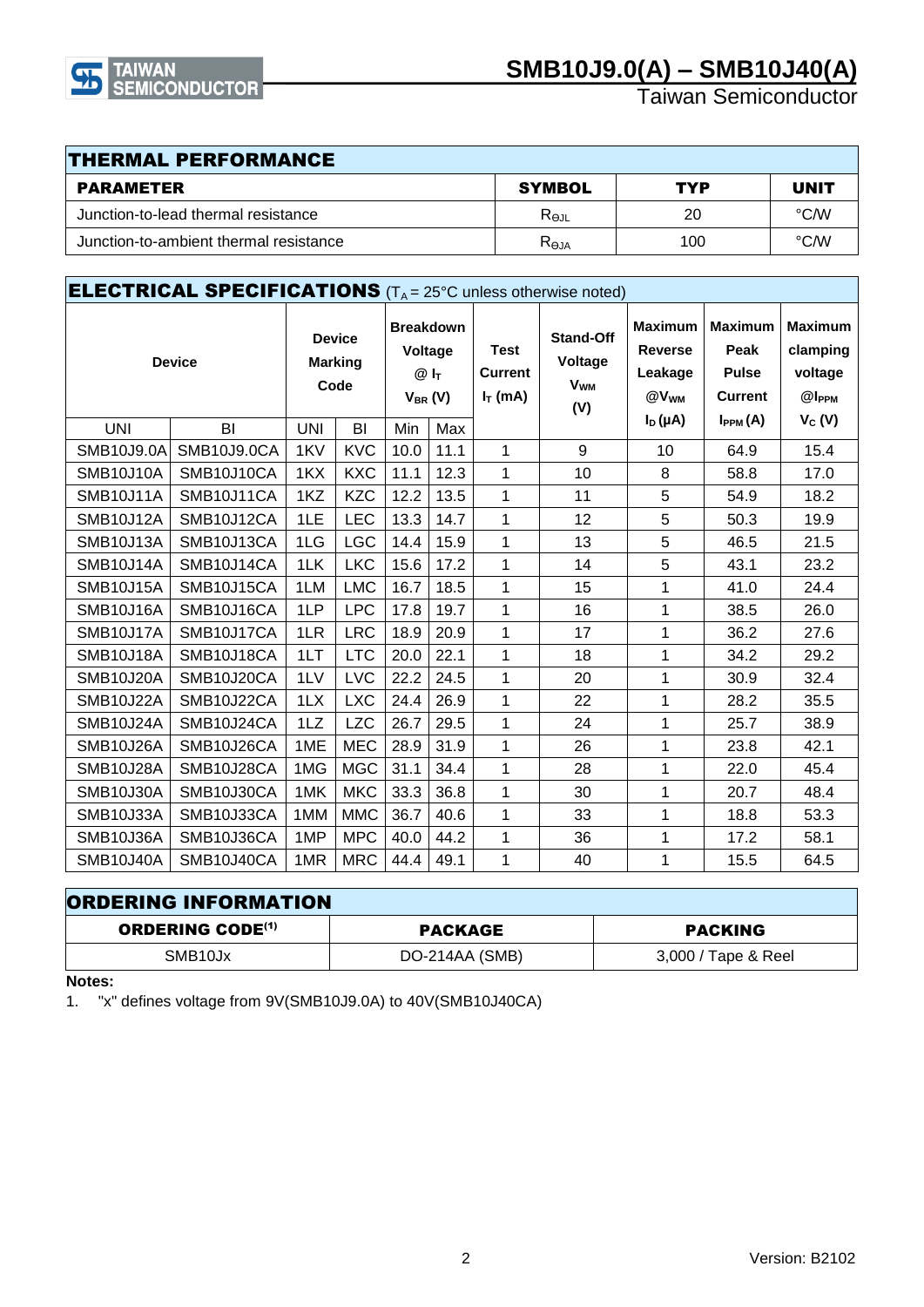

Taiwan Semiconductor

| <b>THERMAL PERFORMANCE</b>             |                 |     |             |  |  |
|----------------------------------------|-----------------|-----|-------------|--|--|
| <b>PARAMETER</b>                       | <b>SYMBOL</b>   | TYP | <b>UNIT</b> |  |  |
| Junction-to-lead thermal resistance    | $R_{\Theta JL}$ | 20  | °C/W        |  |  |
| Junction-to-ambient thermal resistance | $R_{\Theta JA}$ | 100 | °C∕W        |  |  |

| <b>ELECTRICAL SPECIFICATIONS</b> (T <sub>A</sub> = 25°C unless otherwise noted) |             |                                         |            |                                                         |      |                                             |                                                             |                                                                 |                                                          |                                                            |
|---------------------------------------------------------------------------------|-------------|-----------------------------------------|------------|---------------------------------------------------------|------|---------------------------------------------|-------------------------------------------------------------|-----------------------------------------------------------------|----------------------------------------------------------|------------------------------------------------------------|
| <b>Device</b>                                                                   |             | <b>Device</b><br><b>Marking</b><br>Code |            | <b>Breakdown</b><br>Voltage<br>$@I_{T}$<br>$V_{BR} (V)$ |      | <b>Test</b><br><b>Current</b><br>$I_T$ (mA) | <b>Stand-Off</b><br>Voltage<br><b>V<sub>WM</sub></b><br>(V) | <b>Maximum</b><br><b>Reverse</b><br>Leakage<br>@V <sub>WM</sub> | <b>Maximum</b><br>Peak<br><b>Pulse</b><br><b>Current</b> | <b>Maximum</b><br>clamping<br>voltage<br>@I <sub>PPM</sub> |
| <b>UNI</b>                                                                      | BI          | <b>UNI</b>                              | BI         | Min                                                     | Max  |                                             |                                                             | $I_D(\mu A)$                                                    | $I_{PPM}(A)$                                             | $V_C(V)$                                                   |
| <b>SMB10J9.0A</b>                                                               | SMB10J9.0CA | 1KV                                     | <b>KVC</b> | 10.0                                                    | 11.1 | 1                                           | 9                                                           | 10                                                              | 64.9                                                     | 15.4                                                       |
| <b>SMB10J10A</b>                                                                | SMB10J10CA  | 1KX                                     | <b>KXC</b> | 11.1                                                    | 12.3 | 1                                           | 10                                                          | 8                                                               | 58.8                                                     | 17.0                                                       |
| SMB10J11A                                                                       | SMB10J11CA  | 1KZ                                     | <b>KZC</b> | 12.2                                                    | 13.5 | 1                                           | 11                                                          | 5                                                               | 54.9                                                     | 18.2                                                       |
| <b>SMB10J12A</b>                                                                | SMB10J12CA  | 1LE                                     | <b>LEC</b> | 13.3                                                    | 14.7 | 1                                           | 12                                                          | 5                                                               | 50.3                                                     | 19.9                                                       |
| SMB10J13A                                                                       | SMB10J13CA  | 1LG                                     | <b>LGC</b> | 14.4                                                    | 15.9 | 1                                           | 13                                                          | 5                                                               | 46.5                                                     | 21.5                                                       |
| SMB10J14A                                                                       | SMB10J14CA  | 1LK                                     | <b>LKC</b> | 15.6                                                    | 17.2 | 1                                           | 14                                                          | 5                                                               | 43.1                                                     | 23.2                                                       |
| SMB10J15A                                                                       | SMB10J15CA  | 1LM                                     | <b>LMC</b> | 16.7                                                    | 18.5 | 1                                           | 15                                                          | 1                                                               | 41.0                                                     | 24.4                                                       |
| SMB10J16A                                                                       | SMB10J16CA  | 1LP                                     | <b>LPC</b> | 17.8                                                    | 19.7 | $\mathbf{1}$                                | 16                                                          | 1                                                               | 38.5                                                     | 26.0                                                       |
| SMB10J17A                                                                       | SMB10J17CA  | 1LR                                     | <b>LRC</b> | 18.9                                                    | 20.9 | $\mathbf{1}$                                | 17                                                          | 1                                                               | 36.2                                                     | 27.6                                                       |
| SMB10J18A                                                                       | SMB10J18CA  | 1LT                                     | <b>LTC</b> | 20.0                                                    | 22.1 | 1                                           | 18                                                          | 1                                                               | 34.2                                                     | 29.2                                                       |
| SMB10J20A                                                                       | SMB10J20CA  | 1LV                                     | <b>LVC</b> | 22.2                                                    | 24.5 | 1                                           | 20                                                          | 1                                                               | 30.9                                                     | 32.4                                                       |
| SMB10J22A                                                                       | SMB10J22CA  | 1LX                                     | <b>LXC</b> | 24.4                                                    | 26.9 | 1                                           | 22                                                          | 1                                                               | 28.2                                                     | 35.5                                                       |
| SMB10J24A                                                                       | SMB10J24CA  | 1LZ                                     | <b>LZC</b> | 26.7                                                    | 29.5 | 1                                           | 24                                                          | 1                                                               | 25.7                                                     | 38.9                                                       |
| SMB10J26A                                                                       | SMB10J26CA  | 1ME                                     | <b>MEC</b> | 28.9                                                    | 31.9 | 1                                           | 26                                                          | 1                                                               | 23.8                                                     | 42.1                                                       |
| SMB10J28A                                                                       | SMB10J28CA  | 1MG                                     | <b>MGC</b> | 31.1                                                    | 34.4 | 1                                           | 28                                                          | 1                                                               | 22.0                                                     | 45.4                                                       |
| SMB10J30A                                                                       | SMB10J30CA  | 1MK                                     | <b>MKC</b> | 33.3                                                    | 36.8 | 1                                           | 30                                                          | 1                                                               | 20.7                                                     | 48.4                                                       |
| SMB10J33A                                                                       | SMB10J33CA  | 1MM                                     | <b>MMC</b> | 36.7                                                    | 40.6 | $\mathbf{1}$                                | 33                                                          | 1                                                               | 18.8                                                     | 53.3                                                       |
| SMB10J36A                                                                       | SMB10J36CA  | 1MP                                     | <b>MPC</b> | 40.0                                                    | 44.2 | $\mathbf{1}$                                | 36                                                          | 1                                                               | 17.2                                                     | 58.1                                                       |
| SMB10J40A                                                                       | SMB10J40CA  | 1MR                                     | <b>MRC</b> | 44.4                                                    | 49.1 | 1                                           | 40                                                          | 1                                                               | 15.5                                                     | 64.5                                                       |

| <b>ORDERING INFORMATION</b>        |                |                     |  |  |
|------------------------------------|----------------|---------------------|--|--|
| <b>ORDERING CODE<sup>(1)</sup></b> | PACKAGE        | <b>PACKING</b>      |  |  |
| SMB <sub>10</sub> J <sub>x</sub>   | DO-214AA (SMB) | 3,000 / Tape & Reel |  |  |

#### **Notes:**

1. "x" defines voltage from 9V(SMB10J9.0A) to 40V(SMB10J40CA)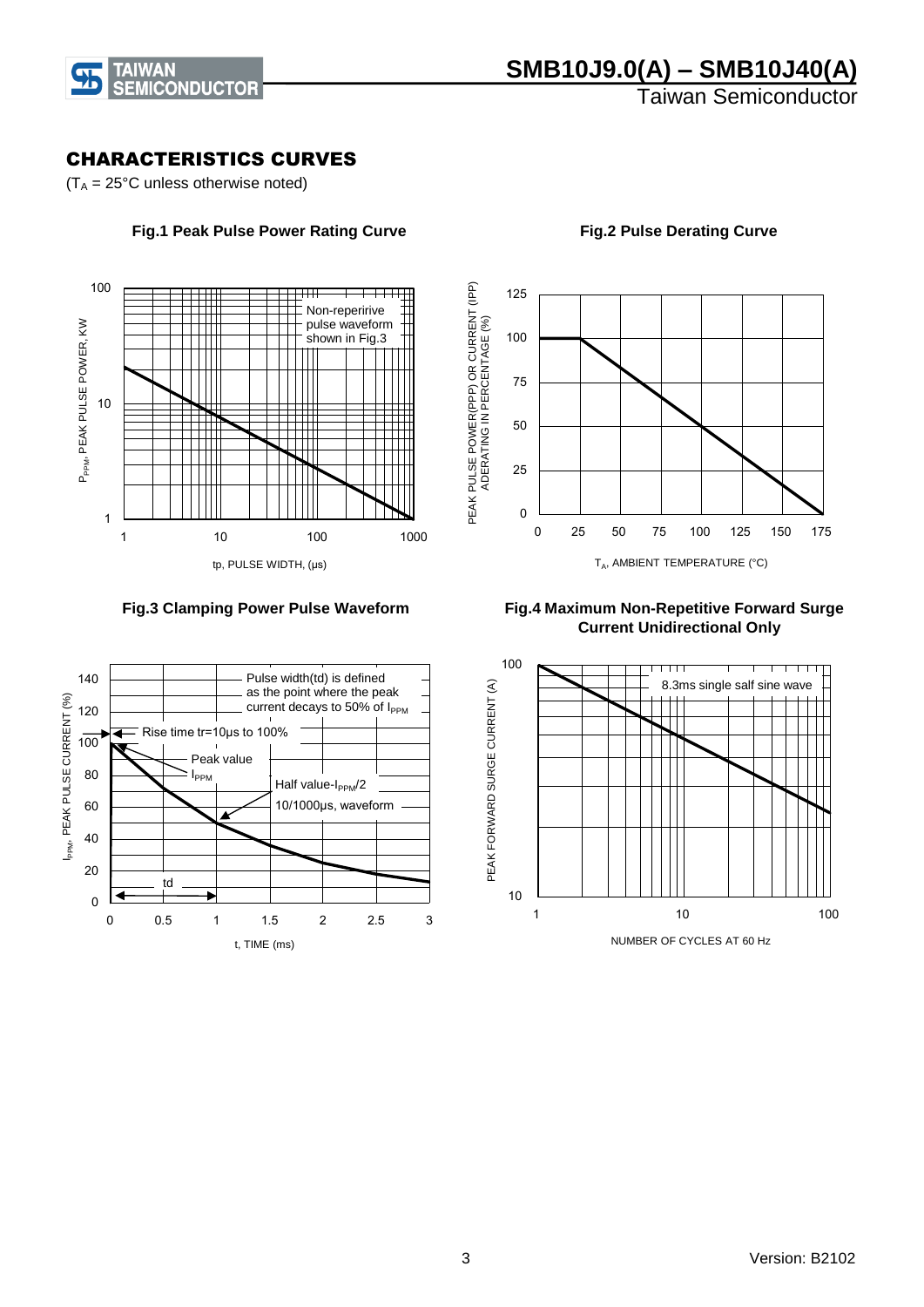

Taiwan Semiconductor

#### CHARACTERISTICS CURVES

 $(T_A = 25^{\circ}C$  unless otherwise noted)



 **Fig.1 Peak Pulse Power Rating Curve**



 **Fig.2 Pulse Derating Curve**

 **Fig.3 Clamping Power Pulse Waveform**



 **Fig.4 Maximum Non-Repetitive Forward Surge Current Unidirectional Only**

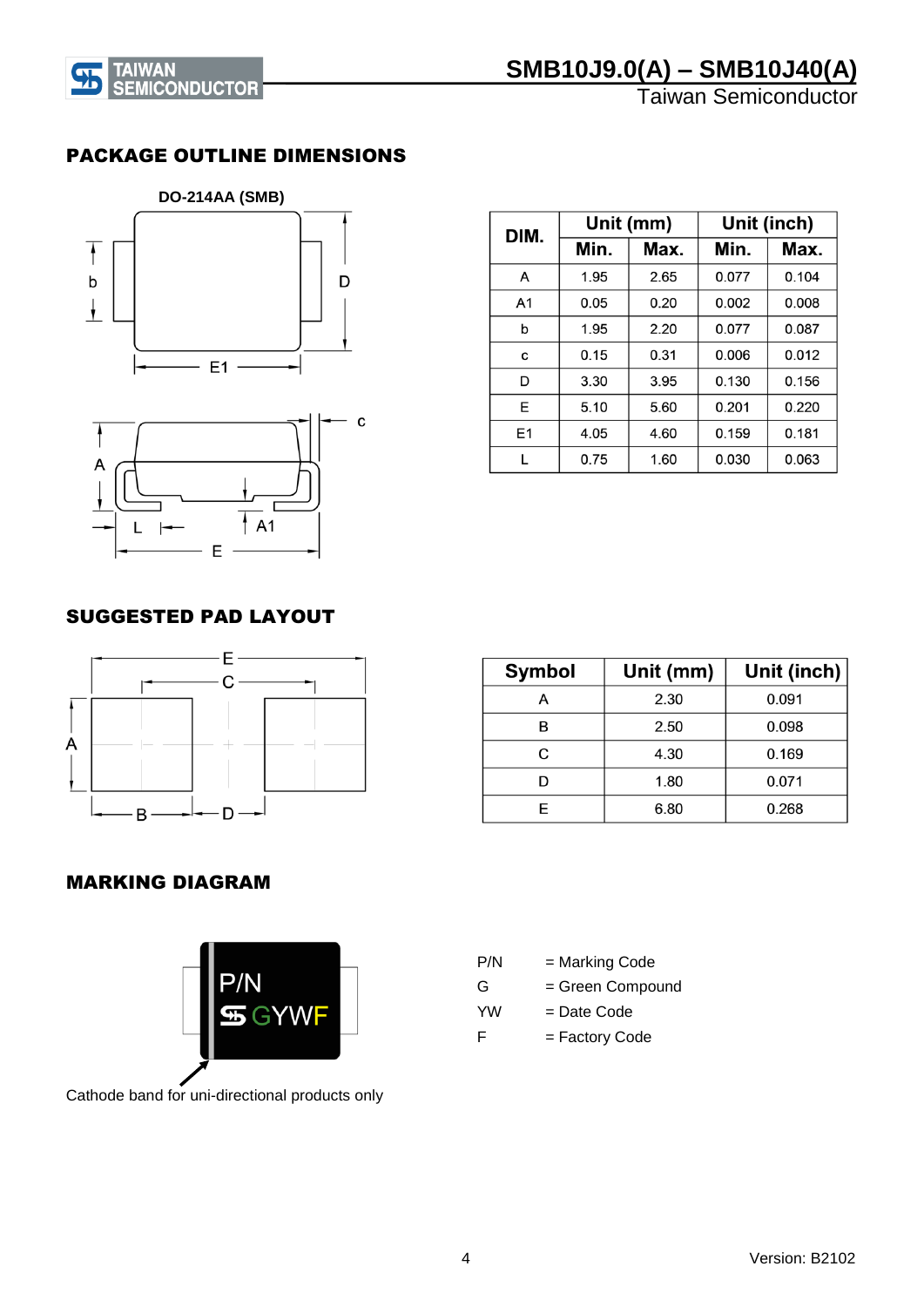

# **EXTRUMAN SMB10J9.0(A) – SMB10J40(A)**<br> **EXTRUMAN SEMICONDUCTOR**<br>
Taiwan Semiconductor

Taiwan Semiconductor

#### PACKAGE OUTLINE DIMENSIONS





| DIM.           |      | Unit (mm) | Unit (inch) |       |  |
|----------------|------|-----------|-------------|-------|--|
|                | Min. | Max.      | Min.        | Max.  |  |
| A              | 1.95 | 2.65      | 0.077       | 0.104 |  |
| A <sub>1</sub> | 0.05 | 0.20      | 0.002       | 0.008 |  |
| b              | 1.95 | 2.20      | 0.077       | 0.087 |  |
| C              | 0.15 | 0.31      | 0.006       | 0.012 |  |
| D              | 3.30 | 3.95      | 0.130       | 0.156 |  |
| E              | 5.10 | 5.60      | 0.201       | 0.220 |  |
| E1             | 4.05 | 4.60      | 0.159       | 0.181 |  |
|                | 0.75 | 1.60      | 0.030       | 0.063 |  |

### SUGGESTED PAD LAYOUT



| <b>Symbol</b> | Unit (mm) | Unit (inch) |
|---------------|-----------|-------------|
| А             | 2.30      | 0.091       |
| в             | 2.50      | 0.098       |
| C             | 4.30      | 0.169       |
|               | 1.80      | 0.071       |
|               | 6.80      | 0.268       |

## MARKING DIAGRAM





| P/N       | = Marking Code   |
|-----------|------------------|
| G         | = Green Compound |
| <b>YW</b> | = Date Code      |
| F         | = Factory Code   |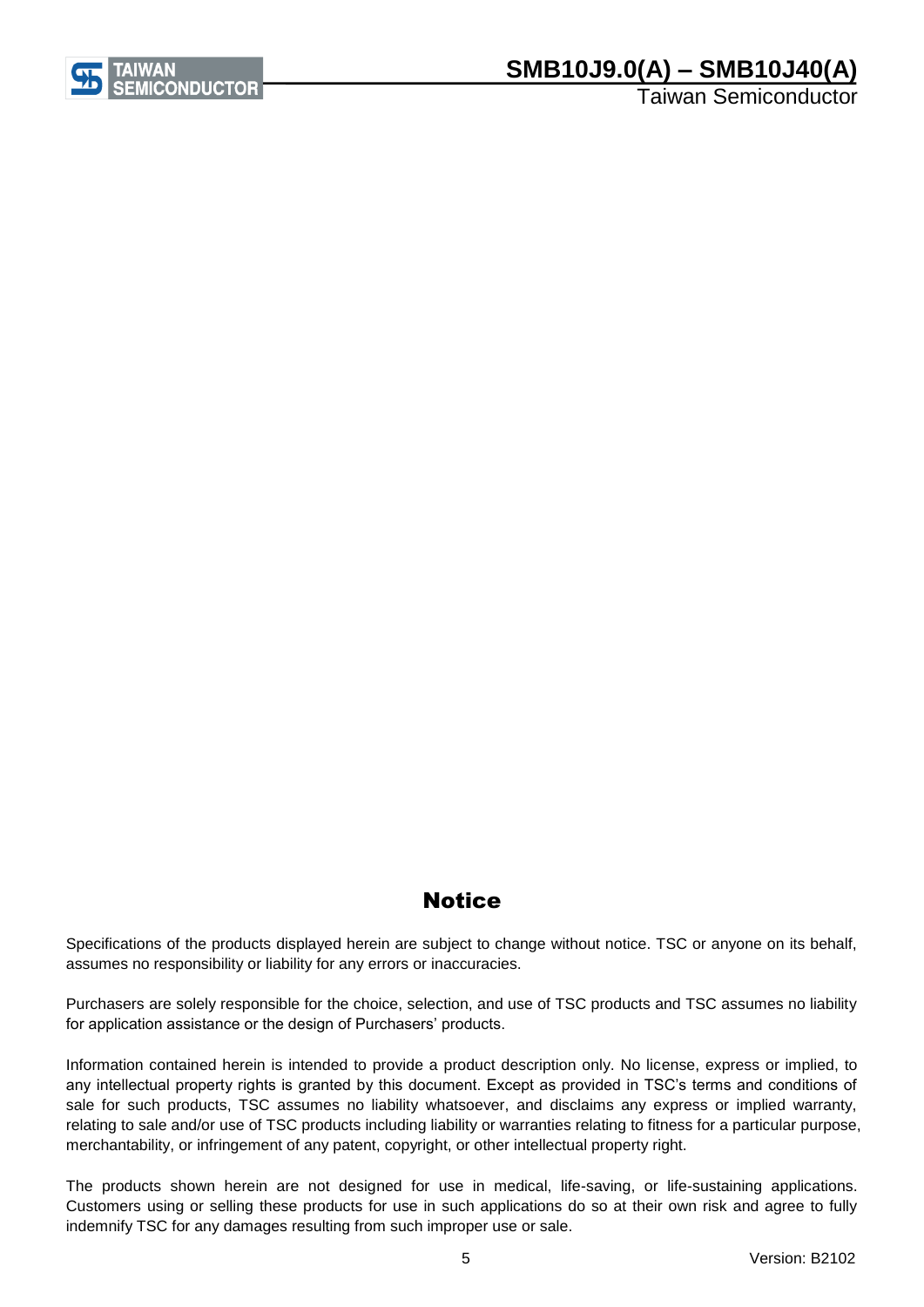

## **SMB10J9.0(A) – SMB10J40(A)**

Taiwan Semiconductor

## **Notice**

Specifications of the products displayed herein are subject to change without notice. TSC or anyone on its behalf, assumes no responsibility or liability for any errors or inaccuracies.

Purchasers are solely responsible for the choice, selection, and use of TSC products and TSC assumes no liability for application assistance or the design of Purchasers' products.

Information contained herein is intended to provide a product description only. No license, express or implied, to any intellectual property rights is granted by this document. Except as provided in TSC's terms and conditions of sale for such products, TSC assumes no liability whatsoever, and disclaims any express or implied warranty, relating to sale and/or use of TSC products including liability or warranties relating to fitness for a particular purpose, merchantability, or infringement of any patent, copyright, or other intellectual property right.

The products shown herein are not designed for use in medical, life-saving, or life-sustaining applications. Customers using or selling these products for use in such applications do so at their own risk and agree to fully indemnify TSC for any damages resulting from such improper use or sale.